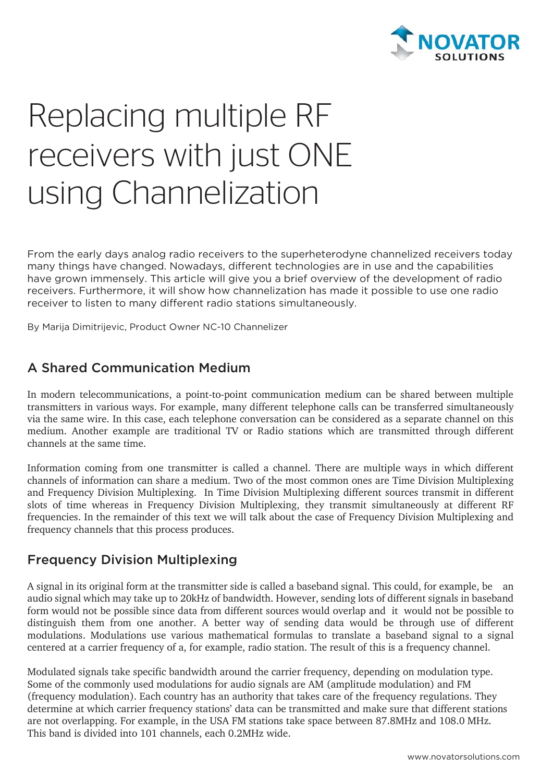

# Replacing multiple RF receivers with just ONE using Channelization

From the early days analog radio receivers to the superheterodyne channelized receivers today many things have changed. Nowadays, different technologies are in use and the capabilities have grown immensely. This article will give you a brief overview of the development of radio receivers. Furthermore, it will show how channelization has made it possible to use one radio receiver to listen to many different radio stations simultaneously.

By Marija Dimitrijevic, Product Owner NC-10 Channelizer

## A Shared Communication Medium

In modern telecommunications, a point-to-point communication medium can be shared between multiple transmitters in various ways. For example, many different telephone calls can be transferred simultaneously via the same wire. In this case, each telephone conversation can be considered as a separate channel on this medium. Another example are traditional TV or Radio stations which are transmitted through different channels at the same time.

Information coming from one transmitter is called a channel. There are multiple ways in which different channels of information can share a medium. Two of the most common ones are Time Division Multiplexing and Frequency Division Multiplexing. In Time Division Multiplexing different sources transmit in different slots of time whereas in Frequency Division Multiplexing, they transmit simultaneously at different RF frequencies. In the remainder of this text we will talk about the case of Frequency Division Multiplexing and frequency channels that this process produces.

#### Frequency Division Multiplexing

A signal in its original form at the transmitter side is called a baseband signal. This could, for example, be an audio signal which may take up to 20kHz of bandwidth. However, sending lots of different signals in baseband form would not be possible since data from different sources would overlap and it would not be possible to distinguish them from one another. A better way of sending data would be through use of different modulations. Modulations use various mathematical formulas to translate a baseband signal to a signal centered at a carrier frequency of a, for example, radio station. The result of this is a frequency channel.

Modulated signals take specific bandwidth around the carrier frequency, depending on modulation type. Some of the commonly used modulations for audio signals are AM (amplitude modulation) and FM (frequency modulation). Each country has an authority that takes care of the frequency regulations. They determine at which carrier frequency stations' data can be transmitted and make sure that different stations are not overlapping. For example, in the USA FM stations take space between 87.8MHz and 108.0 MHz. This band is divided into 101 channels, each 0.2MHz wide.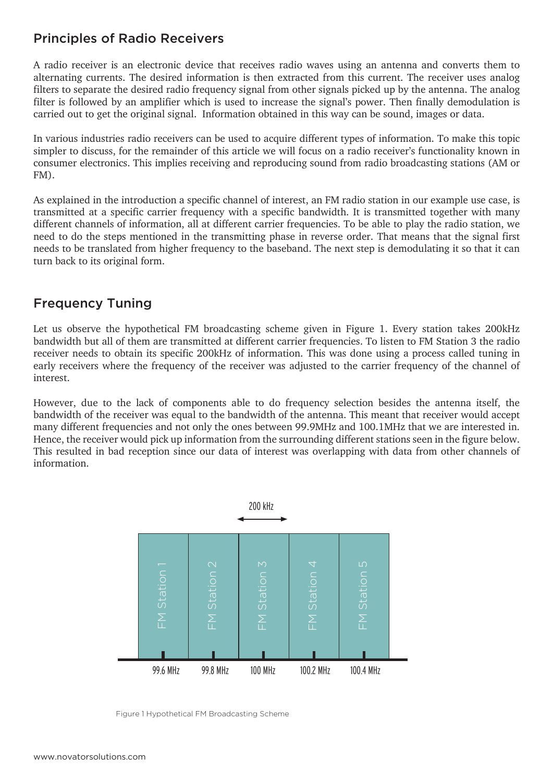#### Principles of Radio Receivers

A radio receiver is an electronic device that receives radio waves using an antenna and converts them to alternating currents. The desired information is then extracted from this current. The receiver uses analog filters to separate the desired radio frequency signal from other signals picked up by the antenna. The analog filter is followed by an amplifier which is used to increase the signal's power. Then finally demodulation is carried out to get the original signal. Information obtained in this way can be sound, images or data.

In various industries radio receivers can be used to acquire different types of information. To make this topic simpler to discuss, for the remainder of this article we will focus on a radio receiver's functionality known in consumer electronics. This implies receiving and reproducing sound from radio broadcasting stations (AM or FM).

As explained in the introduction a specific channel of interest, an FM radio station in our example use case, is transmitted at a specific carrier frequency with a specific bandwidth. It is transmitted together with many different channels of information, all at different carrier frequencies. To be able to play the radio station, we need to do the steps mentioned in the transmitting phase in reverse order. That means that the signal first needs to be translated from higher frequency to the baseband. The next step is demodulating it so that it can turn back to its original form.

## Frequency Tuning

Let us observe the hypothetical FM broadcasting scheme given in Figure 1. Every station takes 200kHz bandwidth but all of them are transmitted at different carrier frequencies. To listen to FM Station 3 the radio receiver needs to obtain its specific 200kHz of information. This was done using a process called tuning in early receivers where the frequency of the receiver was adjusted to the carrier frequency of the channel of interest.

However, due to the lack of components able to do frequency selection besides the antenna itself, the bandwidth of the receiver was equal to the bandwidth of the antenna. This meant that receiver would accept many different frequencies and not only the ones between 99.9MHz and 100.1MHz that we are interested in. Hence, the receiver would pick up information from the surrounding different stations seen in the figure below. This resulted in bad reception since our data of interest was overlapping with data from other channels of information.

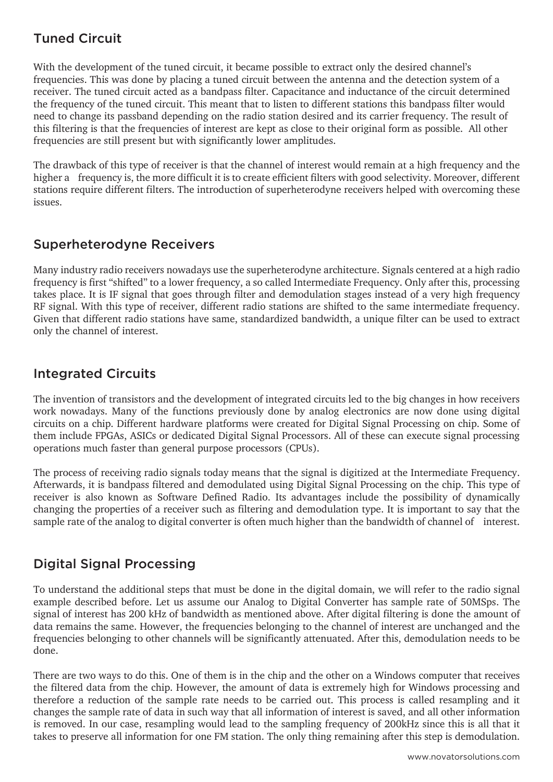## Tuned Circuit

With the development of the tuned circuit, it became possible to extract only the desired channel's frequencies. This was done by placing a tuned circuit between the antenna and the detection system of a receiver. The tuned circuit acted as a bandpass filter. Capacitance and inductance of the circuit determined the frequency of the tuned circuit. This meant that to listen to different stations this bandpass filter would need to change its passband depending on the radio station desired and its carrier frequency. The result of this filtering is that the frequencies of interest are kept as close to their original form as possible. All other frequencies are still present but with significantly lower amplitudes.

The drawback of this type of receiver is that the channel of interest would remain at a high frequency and the higher a frequency is, the more difficult it is to create efficient filters with good selectivity. Moreover, different stations require different filters. The introduction of superheterodyne receivers helped with overcoming these issues.

## Superheterodyne Receivers

Many industry radio receivers nowadays use the superheterodyne architecture. Signals centered at a high radio frequency is first "shifted" to a lower frequency, a so called Intermediate Frequency. Only after this, processing takes place. It is IF signal that goes through filter and demodulation stages instead of a very high frequency RF signal. With this type of receiver, different radio stations are shifted to the same intermediate frequency. Given that different radio stations have same, standardized bandwidth, a unique filter can be used to extract only the channel of interest.

## Integrated Circuits

The invention of transistors and the development of integrated circuits led to the big changes in how receivers work nowadays. Many of the functions previously done by analog electronics are now done using digital circuits on a chip. Different hardware platforms were created for Digital Signal Processing on chip. Some of them include FPGAs, ASICs or dedicated Digital Signal Processors. All of these can execute signal processing operations much faster than general purpose processors (CPUs).

The process of receiving radio signals today means that the signal is digitized at the Intermediate Frequency. Afterwards, it is bandpass filtered and demodulated using Digital Signal Processing on the chip. This type of receiver is also known as Software Defined Radio. Its advantages include the possibility of dynamically changing the properties of a receiver such as filtering and demodulation type. It is important to say that the sample rate of the analog to digital converter is often much higher than the bandwidth of channel of interest.

## Digital Signal Processing

To understand the additional steps that must be done in the digital domain, we will refer to the radio signal example described before. Let us assume our Analog to Digital Converter has sample rate of 50MSps. The signal of interest has 200 kHz of bandwidth as mentioned above. After digital filtering is done the amount of data remains the same. However, the frequencies belonging to the channel of interest are unchanged and the frequencies belonging to other channels will be significantly attenuated. After this, demodulation needs to be done.

There are two ways to do this. One of them is in the chip and the other on a Windows computer that receives the filtered data from the chip. However, the amount of data is extremely high for Windows processing and therefore a reduction of the sample rate needs to be carried out. This process is called resampling and it changes the sample rate of data in such way that all information of interest is saved, and all other information is removed. In our case, resampling would lead to the sampling frequency of 200kHz since this is all that it takes to preserve all information for one FM station. The only thing remaining after this step is demodulation.